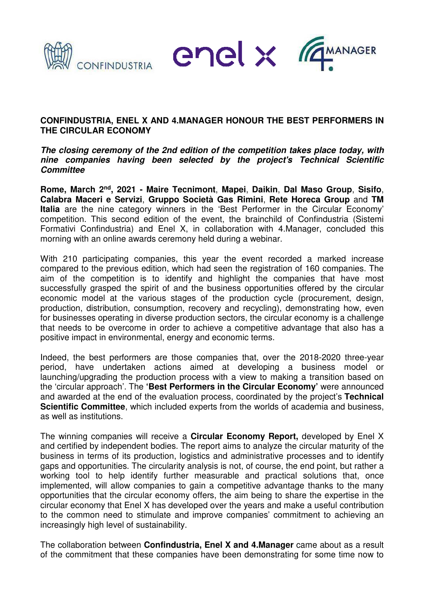

enel x remanager



## **CONFINDUSTRIA, ENEL X AND 4.MANAGER HONOUR THE BEST PERFORMERS IN THE CIRCULAR ECONOMY**

**The closing ceremony of the 2nd edition of the competition takes place today, with nine companies having been selected by the project's Technical Scientific Committee** 

**Rome, March 2nd, 2021 - Maire Tecnimont**, **Mapei**, **Daikin**, **Dal Maso Group**, **Sisifo**, **Calabra Maceri e Servizi**, **Gruppo Società Gas Rimini**, **Rete Horeca Group** and **TM Italia** are the nine category winners in the 'Best Performer in the Circular Economy' competition. This second edition of the event, the brainchild of Confindustria (Sistemi Formativi Confindustria) and Enel X, in collaboration with 4.Manager, concluded this morning with an online awards ceremony held during a webinar.

With 210 participating companies, this year the event recorded a marked increase compared to the previous edition, which had seen the registration of 160 companies. The aim of the competition is to identify and highlight the companies that have most successfully grasped the spirit of and the business opportunities offered by the circular economic model at the various stages of the production cycle (procurement, design, production, distribution, consumption, recovery and recycling), demonstrating how, even for businesses operating in diverse production sectors, the circular economy is a challenge that needs to be overcome in order to achieve a competitive advantage that also has a positive impact in environmental, energy and economic terms.

Indeed, the best performers are those companies that, over the 2018-2020 three-year period, have undertaken actions aimed at developing a business model or launching/upgrading the production process with a view to making a transition based on the 'circular approach'. The **'Best Performers in the Circular Economy'** were announced and awarded at the end of the evaluation process, coordinated by the project's **Technical Scientific Committee**, which included experts from the worlds of academia and business, as well as institutions.

The winning companies will receive a **Circular Economy Report,** developed by Enel X and certified by independent bodies. The report aims to analyze the circular maturity of the business in terms of its production, logistics and administrative processes and to identify gaps and opportunities. The circularity analysis is not, of course, the end point, but rather a working tool to help identify further measurable and practical solutions that, once implemented, will allow companies to gain a competitive advantage thanks to the many opportunities that the circular economy offers, the aim being to share the expertise in the circular economy that Enel X has developed over the years and make a useful contribution to the common need to stimulate and improve companies' commitment to achieving an increasingly high level of sustainability.

The collaboration between **Confindustria, Enel X and 4.Manager** came about as a result of the commitment that these companies have been demonstrating for some time now to